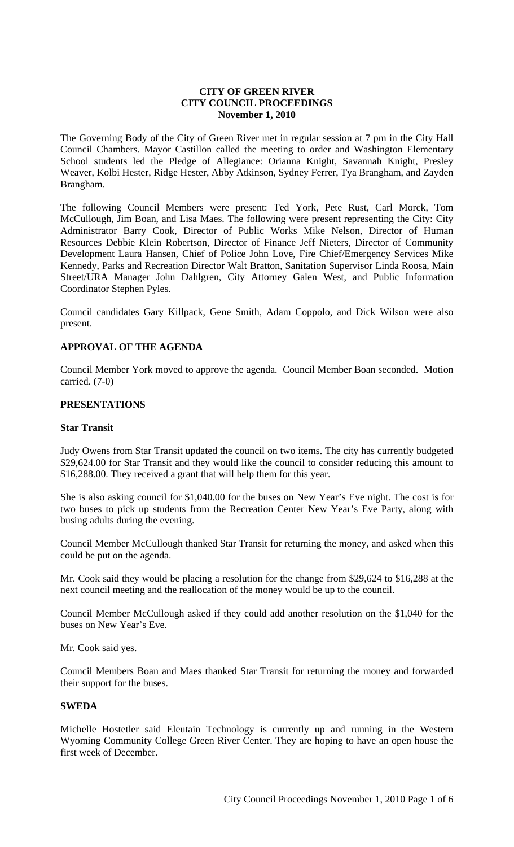### **CITY OF GREEN RIVER CITY COUNCIL PROCEEDINGS November 1, 2010**

The Governing Body of the City of Green River met in regular session at 7 pm in the City Hall Council Chambers. Mayor Castillon called the meeting to order and Washington Elementary School students led the Pledge of Allegiance: Orianna Knight, Savannah Knight, Presley Weaver, Kolbi Hester, Ridge Hester, Abby Atkinson, Sydney Ferrer, Tya Brangham, and Zayden Brangham.

The following Council Members were present: Ted York, Pete Rust, Carl Morck, Tom McCullough, Jim Boan, and Lisa Maes. The following were present representing the City: City Administrator Barry Cook, Director of Public Works Mike Nelson, Director of Human Resources Debbie Klein Robertson, Director of Finance Jeff Nieters, Director of Community Development Laura Hansen, Chief of Police John Love, Fire Chief/Emergency Services Mike Kennedy, Parks and Recreation Director Walt Bratton, Sanitation Supervisor Linda Roosa, Main Street/URA Manager John Dahlgren, City Attorney Galen West, and Public Information Coordinator Stephen Pyles.

Council candidates Gary Killpack, Gene Smith, Adam Coppolo, and Dick Wilson were also present.

# **APPROVAL OF THE AGENDA**

Council Member York moved to approve the agenda. Council Member Boan seconded. Motion carried. (7-0)

#### **PRESENTATIONS**

# **Star Transit**

Judy Owens from Star Transit updated the council on two items. The city has currently budgeted \$29,624.00 for Star Transit and they would like the council to consider reducing this amount to \$16,288.00. They received a grant that will help them for this year.

She is also asking council for \$1,040.00 for the buses on New Year's Eve night. The cost is for two buses to pick up students from the Recreation Center New Year's Eve Party, along with busing adults during the evening.

Council Member McCullough thanked Star Transit for returning the money, and asked when this could be put on the agenda.

Mr. Cook said they would be placing a resolution for the change from \$29,624 to \$16,288 at the next council meeting and the reallocation of the money would be up to the council.

Council Member McCullough asked if they could add another resolution on the \$1,040 for the buses on New Year's Eve.

Mr. Cook said yes.

Council Members Boan and Maes thanked Star Transit for returning the money and forwarded their support for the buses.

# **SWEDA**

Michelle Hostetler said Eleutain Technology is currently up and running in the Western Wyoming Community College Green River Center. They are hoping to have an open house the first week of December.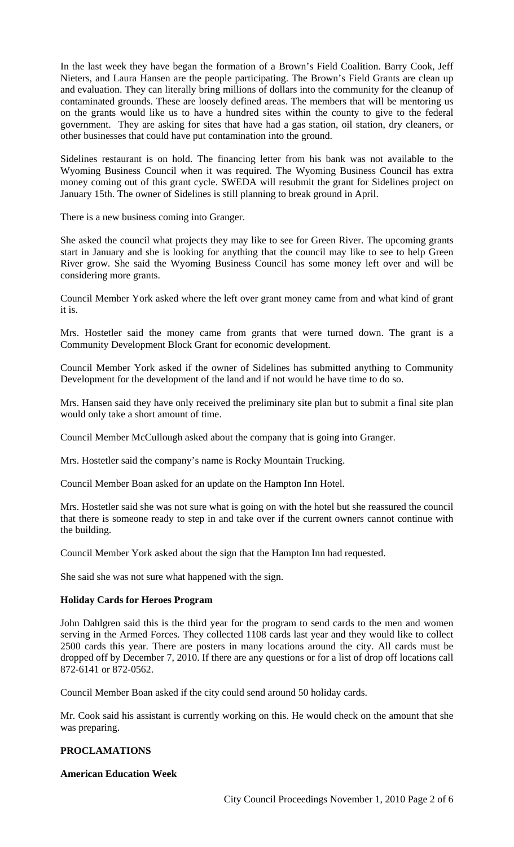In the last week they have began the formation of a Brown's Field Coalition. Barry Cook, Jeff Nieters, and Laura Hansen are the people participating. The Brown's Field Grants are clean up and evaluation. They can literally bring millions of dollars into the community for the cleanup of contaminated grounds. These are loosely defined areas. The members that will be mentoring us on the grants would like us to have a hundred sites within the county to give to the federal government. They are asking for sites that have had a gas station, oil station, dry cleaners, or other businesses that could have put contamination into the ground.

Sidelines restaurant is on hold. The financing letter from his bank was not available to the Wyoming Business Council when it was required. The Wyoming Business Council has extra money coming out of this grant cycle. SWEDA will resubmit the grant for Sidelines project on January 15th. The owner of Sidelines is still planning to break ground in April.

There is a new business coming into Granger.

She asked the council what projects they may like to see for Green River. The upcoming grants start in January and she is looking for anything that the council may like to see to help Green River grow. She said the Wyoming Business Council has some money left over and will be considering more grants.

Council Member York asked where the left over grant money came from and what kind of grant it is.

Mrs. Hostetler said the money came from grants that were turned down. The grant is a Community Development Block Grant for economic development.

Council Member York asked if the owner of Sidelines has submitted anything to Community Development for the development of the land and if not would he have time to do so.

Mrs. Hansen said they have only received the preliminary site plan but to submit a final site plan would only take a short amount of time.

Council Member McCullough asked about the company that is going into Granger.

Mrs. Hostetler said the company's name is Rocky Mountain Trucking.

Council Member Boan asked for an update on the Hampton Inn Hotel.

Mrs. Hostetler said she was not sure what is going on with the hotel but she reassured the council that there is someone ready to step in and take over if the current owners cannot continue with the building.

Council Member York asked about the sign that the Hampton Inn had requested.

She said she was not sure what happened with the sign.

## **Holiday Cards for Heroes Program**

John Dahlgren said this is the third year for the program to send cards to the men and women serving in the Armed Forces. They collected 1108 cards last year and they would like to collect 2500 cards this year. There are posters in many locations around the city. All cards must be dropped off by December 7, 2010. If there are any questions or for a list of drop off locations call 872-6141 or 872-0562.

Council Member Boan asked if the city could send around 50 holiday cards.

Mr. Cook said his assistant is currently working on this. He would check on the amount that she was preparing.

## **PROCLAMATIONS**

# **American Education Week**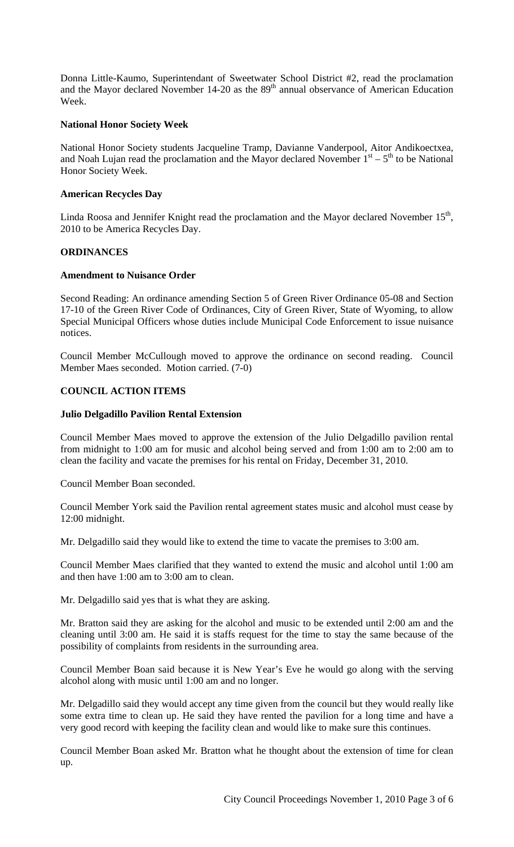Donna Little-Kaumo, Superintendant of Sweetwater School District #2, read the proclamation and the Mayor declared November 14-20 as the 89<sup>th</sup> annual observance of American Education Week.

## **National Honor Society Week**

National Honor Society students Jacqueline Tramp, Davianne Vanderpool, Aitor Andikoectxea, and Noah Lujan read the proclamation and the Mayor declared November  $1<sup>st</sup> - 5<sup>th</sup>$  to be National Honor Society Week.

#### **American Recycles Day**

Linda Roosa and Jennifer Knight read the proclamation and the Mayor declared November 15<sup>th</sup>, 2010 to be America Recycles Day.

#### **ORDINANCES**

#### **Amendment to Nuisance Order**

Second Reading: An ordinance amending Section 5 of Green River Ordinance 05-08 and Section 17-10 of the Green River Code of Ordinances, City of Green River, State of Wyoming, to allow Special Municipal Officers whose duties include Municipal Code Enforcement to issue nuisance notices.

Council Member McCullough moved to approve the ordinance on second reading. Council Member Maes seconded. Motion carried. (7-0)

# **COUNCIL ACTION ITEMS**

#### **Julio Delgadillo Pavilion Rental Extension**

Council Member Maes moved to approve the extension of the Julio Delgadillo pavilion rental from midnight to 1:00 am for music and alcohol being served and from 1:00 am to 2:00 am to clean the facility and vacate the premises for his rental on Friday, December 31, 2010.

Council Member Boan seconded.

Council Member York said the Pavilion rental agreement states music and alcohol must cease by 12:00 midnight.

Mr. Delgadillo said they would like to extend the time to vacate the premises to 3:00 am.

Council Member Maes clarified that they wanted to extend the music and alcohol until 1:00 am and then have 1:00 am to 3:00 am to clean.

Mr. Delgadillo said yes that is what they are asking.

Mr. Bratton said they are asking for the alcohol and music to be extended until 2:00 am and the cleaning until 3:00 am. He said it is staffs request for the time to stay the same because of the possibility of complaints from residents in the surrounding area.

Council Member Boan said because it is New Year's Eve he would go along with the serving alcohol along with music until 1:00 am and no longer.

Mr. Delgadillo said they would accept any time given from the council but they would really like some extra time to clean up. He said they have rented the pavilion for a long time and have a very good record with keeping the facility clean and would like to make sure this continues.

Council Member Boan asked Mr. Bratton what he thought about the extension of time for clean up.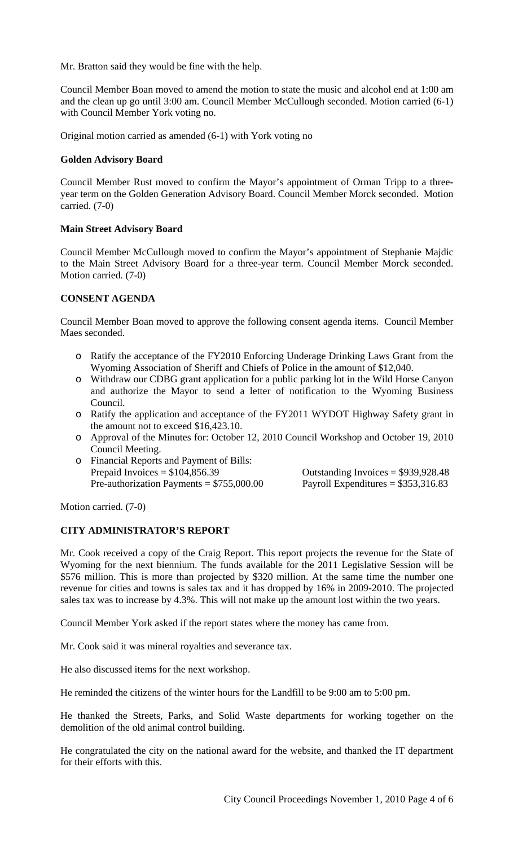Mr. Bratton said they would be fine with the help.

Council Member Boan moved to amend the motion to state the music and alcohol end at 1:00 am and the clean up go until 3:00 am. Council Member McCullough seconded. Motion carried (6-1) with Council Member York voting no.

Original motion carried as amended (6-1) with York voting no

### **Golden Advisory Board**

Council Member Rust moved to confirm the Mayor's appointment of Orman Tripp to a threeyear term on the Golden Generation Advisory Board. Council Member Morck seconded. Motion carried. (7-0)

#### **Main Street Advisory Board**

Council Member McCullough moved to confirm the Mayor's appointment of Stephanie Majdic to the Main Street Advisory Board for a three-year term. Council Member Morck seconded. Motion carried. (7-0)

## **CONSENT AGENDA**

Council Member Boan moved to approve the following consent agenda items. Council Member Maes seconded.

- o Ratify the acceptance of the FY2010 Enforcing Underage Drinking Laws Grant from the Wyoming Association of Sheriff and Chiefs of Police in the amount of \$12,040.
- o Withdraw our CDBG grant application for a public parking lot in the Wild Horse Canyon and authorize the Mayor to send a letter of notification to the Wyoming Business Council.
- o Ratify the application and acceptance of the FY2011 WYDOT Highway Safety grant in the amount not to exceed \$16,423.10.
- o Approval of the Minutes for: October 12, 2010 Council Workshop and October 19, 2010 Council Meeting.
- o Financial Reports and Payment of Bills: Prepaid Invoices =  $$104,856.39$  Outstanding Invoices =  $$939,928.48$

Pre-authorization Payments = \$755,000.00 Payroll Expenditures = \$353,316.83

Motion carried. (7-0)

## **CITY ADMINISTRATOR'S REPORT**

Mr. Cook received a copy of the Craig Report. This report projects the revenue for the State of Wyoming for the next biennium. The funds available for the 2011 Legislative Session will be \$576 million. This is more than projected by \$320 million. At the same time the number one revenue for cities and towns is sales tax and it has dropped by 16% in 2009-2010. The projected sales tax was to increase by 4.3%. This will not make up the amount lost within the two years.

Council Member York asked if the report states where the money has came from.

Mr. Cook said it was mineral royalties and severance tax.

He also discussed items for the next workshop.

He reminded the citizens of the winter hours for the Landfill to be 9:00 am to 5:00 pm.

He thanked the Streets, Parks, and Solid Waste departments for working together on the demolition of the old animal control building.

He congratulated the city on the national award for the website, and thanked the IT department for their efforts with this.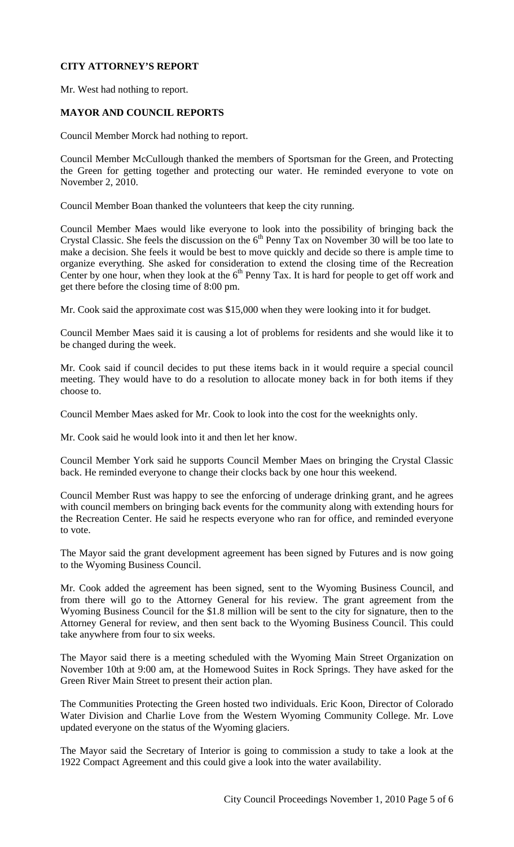# **CITY ATTORNEY'S REPORT**

Mr. West had nothing to report.

# **MAYOR AND COUNCIL REPORTS**

Council Member Morck had nothing to report.

Council Member McCullough thanked the members of Sportsman for the Green, and Protecting the Green for getting together and protecting our water. He reminded everyone to vote on November 2, 2010.

Council Member Boan thanked the volunteers that keep the city running.

Council Member Maes would like everyone to look into the possibility of bringing back the Crystal Classic. She feels the discussion on the  $6<sup>th</sup>$  Penny Tax on November 30 will be too late to make a decision. She feels it would be best to move quickly and decide so there is ample time to organize everything. She asked for consideration to extend the closing time of the Recreation Center by one hour, when they look at the  $6<sup>th</sup>$  Penny Tax. It is hard for people to get off work and get there before the closing time of 8:00 pm.

Mr. Cook said the approximate cost was \$15,000 when they were looking into it for budget.

Council Member Maes said it is causing a lot of problems for residents and she would like it to be changed during the week.

Mr. Cook said if council decides to put these items back in it would require a special council meeting. They would have to do a resolution to allocate money back in for both items if they choose to.

Council Member Maes asked for Mr. Cook to look into the cost for the weeknights only.

Mr. Cook said he would look into it and then let her know.

Council Member York said he supports Council Member Maes on bringing the Crystal Classic back. He reminded everyone to change their clocks back by one hour this weekend.

Council Member Rust was happy to see the enforcing of underage drinking grant, and he agrees with council members on bringing back events for the community along with extending hours for the Recreation Center. He said he respects everyone who ran for office, and reminded everyone to vote.

The Mayor said the grant development agreement has been signed by Futures and is now going to the Wyoming Business Council.

Mr. Cook added the agreement has been signed, sent to the Wyoming Business Council, and from there will go to the Attorney General for his review. The grant agreement from the Wyoming Business Council for the \$1.8 million will be sent to the city for signature, then to the Attorney General for review, and then sent back to the Wyoming Business Council. This could take anywhere from four to six weeks.

The Mayor said there is a meeting scheduled with the Wyoming Main Street Organization on November 10th at 9:00 am, at the Homewood Suites in Rock Springs. They have asked for the Green River Main Street to present their action plan.

The Communities Protecting the Green hosted two individuals. Eric Koon, Director of Colorado Water Division and Charlie Love from the Western Wyoming Community College. Mr. Love updated everyone on the status of the Wyoming glaciers.

The Mayor said the Secretary of Interior is going to commission a study to take a look at the 1922 Compact Agreement and this could give a look into the water availability.